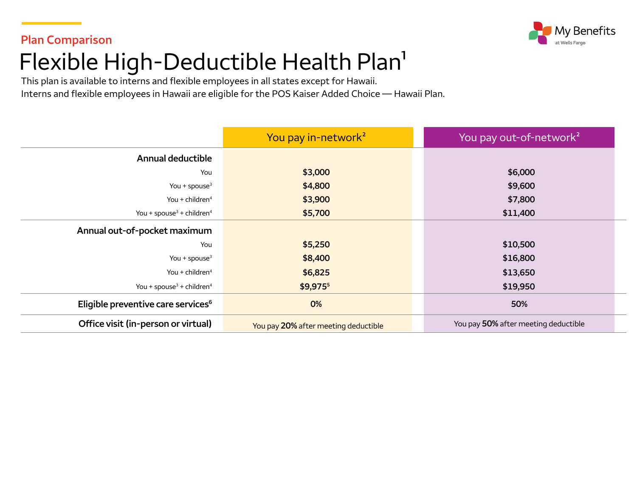

# **Plan Comparison**  Flexible High-Deductible Health Plan<sup>1</sup>

This plan is available to interns and flexible employees in all states except for Hawaii. Interns and flexible employees in Hawaii are eligible for the POS Kaiser Added Choice — Hawaii Plan.

|                                                   | You pay in-network <sup>2</sup>                                              | You pay out-of-network <sup>2</sup> |  |
|---------------------------------------------------|------------------------------------------------------------------------------|-------------------------------------|--|
| <b>Annual deductible</b>                          |                                                                              |                                     |  |
| You                                               | \$3,000                                                                      | \$6,000                             |  |
| You + spouse $3$                                  | \$4,800<br>\$9,600                                                           |                                     |  |
| You + children $4$                                | \$3,900<br>\$7,800                                                           |                                     |  |
| You + spouse <sup>3</sup> + children <sup>4</sup> | \$5,700<br>\$11,400                                                          |                                     |  |
| Annual out-of-pocket maximum                      |                                                                              |                                     |  |
| You                                               | \$5,250                                                                      | \$10,500                            |  |
| You + spouse $3$                                  | \$8,400<br>\$16,800                                                          |                                     |  |
| You + children <sup>4</sup>                       | \$6,825<br>\$13,650                                                          |                                     |  |
| You + spouse <sup>3</sup> + children <sup>4</sup> | $$9,975$ <sup>5</sup>                                                        | \$19,950                            |  |
| Eligible preventive care services <sup>6</sup>    | 0%                                                                           | 50%                                 |  |
| Office visit (in-person or virtual)               | You pay 50% after meeting deductible<br>You pay 20% after meeting deductible |                                     |  |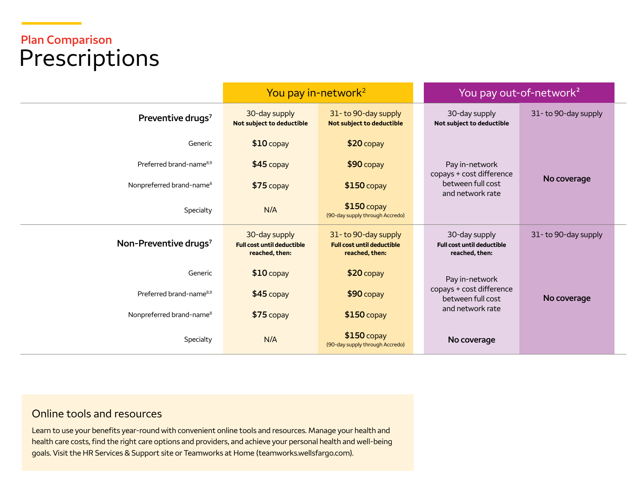## **Plan Comparison**  Prescriptions

|                                      | You pay in-network <sup>2</sup>                                      |                                                                            | You pay out-of-network <sup>2</sup>                                                 |                     |
|--------------------------------------|----------------------------------------------------------------------|----------------------------------------------------------------------------|-------------------------------------------------------------------------------------|---------------------|
| Preventive drugs <sup>7</sup>        | 30-day supply<br>Not subject to deductible                           | 31-to 90-day supply<br>Not subject to deductible                           | 30-day supply<br>Not subject to deductible                                          | 31-to 90-day supply |
| Generic                              | $$10$ copay                                                          | \$20 copay                                                                 |                                                                                     |                     |
| Preferred brand-name <sup>8,9</sup>  | $$45$ copay                                                          | $$90$ copay                                                                | Pay in-network<br>copays + cost difference<br>between full cost<br>and network rate | No coverage         |
| Nonpreferred brand-name <sup>8</sup> | $$75$ copay                                                          | $$150$ copay                                                               |                                                                                     |                     |
| Specialty                            | N/A                                                                  | $$150$ copay<br>(90-day supply through Accredo)                            |                                                                                     |                     |
| Non-Preventive drugs <sup>7</sup>    | 30-day supply<br><b>Full cost until deductible</b><br>reached, then: | 31-to 90-day supply<br><b>Full cost until deductible</b><br>reached, then: | 30-day supply<br><b>Full cost until deductible</b><br>reached, then:                | 31-to 90-day supply |
| Generic                              | $$10$ copay                                                          | \$20 copay                                                                 | Pay in-network<br>copays + cost difference<br>between full cost<br>and network rate |                     |
| Preferred brand-name <sup>8,9</sup>  | $$45$ copay                                                          | \$90 copay                                                                 |                                                                                     | No coverage         |
| Nonpreferred brand-name <sup>8</sup> | $$75$ copay                                                          | $$150$ copay                                                               |                                                                                     |                     |
| Specialty                            | N/A                                                                  | $$150$ copay<br>(90-day supply through Accredo)                            | No coverage                                                                         |                     |

### Online tools and resources

Learn to use your benefits year-round with convenient online tools and resources. Manage your health and health care costs, find the right care options and providers, and achieve your personal health and well-being goals. Visit the HR Services & Support site or Teamworks at Home [\(teamworks.wellsfargo.com\)](http://teamworks.wellsfargo.com).